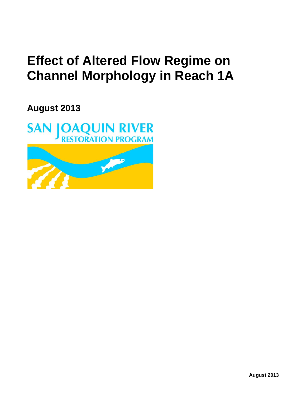# **Effect of Altered Flow Regime on Channel Morphology in Reach 1A**

**August 2013**

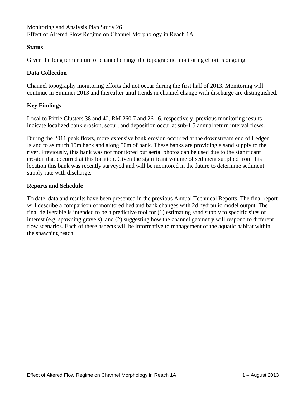Monitoring and Analysis Plan Study 26 Effect of Altered Flow Regime on Channel Morphology in Reach 1A

### **Status**

Given the long term nature of channel change the topographic monitoring effort is ongoing.

## **Data Collection**

Channel topography monitoring efforts did not occur during the first half of 2013. Monitoring will continue in Summer 2013 and thereafter until trends in channel change with discharge are distinguished.

## **Key Findings**

Local to Riffle Clusters 38 and 40, RM 260.7 and 261.6, respectively, previous monitoring results indicate localized bank erosion, scour, and deposition occur at sub-1.5 annual return interval flows.

During the 2011 peak flows, more extensive bank erosion occurred at the downstream end of Ledger Island to as much 15m back and along 50m of bank. These banks are providing a sand supply to the river. Previously, this bank was not monitored but aerial photos can be used due to the significant erosion that occurred at this location. Given the significant volume of sediment supplied from this location this bank was recently surveyed and will be monitored in the future to determine sediment supply rate with discharge.

### **Reports and Schedule**

To date, data and results have been presented in the previous Annual Technical Reports. The final report will describe a comparison of monitored bed and bank changes with 2d hydraulic model output. The final deliverable is intended to be a predictive tool for (1) estimating sand supply to specific sites of interest (e.g. spawning gravels), and (2) suggesting how the channel geometry will respond to different flow scenarios. Each of these aspects will be informative to management of the aquatic habitat within the spawning reach.